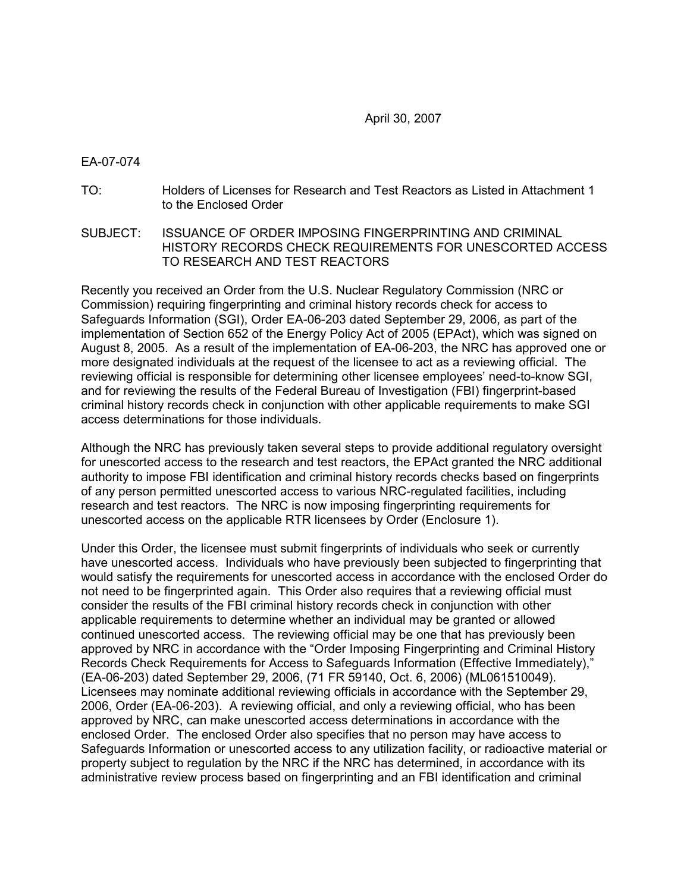April 30, 2007

#### EA-07-074

- TO: Holders of Licenses for Research and Test Reactors as Listed in Attachment 1 to the Enclosed Order
- SUBJECT: ISSUANCE OF ORDER IMPOSING FINGERPRINTING AND CRIMINAL HISTORY RECORDS CHECK REQUIREMENTS FOR UNESCORTED ACCESS TO RESEARCH AND TEST REACTORS

Recently you received an Order from the U.S. Nuclear Regulatory Commission (NRC or Commission) requiring fingerprinting and criminal history records check for access to Safeguards Information (SGI), Order EA-06-203 dated September 29, 2006, as part of the implementation of Section 652 of the Energy Policy Act of 2005 (EPAct), which was signed on August 8, 2005. As a result of the implementation of EA-06-203, the NRC has approved one or more designated individuals at the request of the licensee to act as a reviewing official. The reviewing official is responsible for determining other licensee employees' need-to-know SGI, and for reviewing the results of the Federal Bureau of Investigation (FBI) fingerprint-based criminal history records check in conjunction with other applicable requirements to make SGI access determinations for those individuals.

Although the NRC has previously taken several steps to provide additional regulatory oversight for unescorted access to the research and test reactors, the EPAct granted the NRC additional authority to impose FBI identification and criminal history records checks based on fingerprints of any person permitted unescorted access to various NRC-regulated facilities, including research and test reactors. The NRC is now imposing fingerprinting requirements for unescorted access on the applicable RTR licensees by Order (Enclosure 1).

Under this Order, the licensee must submit fingerprints of individuals who seek or currently have unescorted access. Individuals who have previously been subjected to fingerprinting that would satisfy the requirements for unescorted access in accordance with the enclosed Order do not need to be fingerprinted again. This Order also requires that a reviewing official must consider the results of the FBI criminal history records check in conjunction with other applicable requirements to determine whether an individual may be granted or allowed continued unescorted access. The reviewing official may be one that has previously been approved by NRC in accordance with the "Order Imposing Fingerprinting and Criminal History Records Check Requirements for Access to Safeguards Information (Effective Immediately)," (EA-06-203) dated September 29, 2006, (71 FR 59140, Oct. 6, 2006) (ML061510049). Licensees may nominate additional reviewing officials in accordance with the September 29, 2006, Order (EA-06-203). A reviewing official, and only a reviewing official, who has been approved by NRC, can make unescorted access determinations in accordance with the enclosed Order. The enclosed Order also specifies that no person may have access to Safeguards Information or unescorted access to any utilization facility, or radioactive material or property subject to regulation by the NRC if the NRC has determined, in accordance with its administrative review process based on fingerprinting and an FBI identification and criminal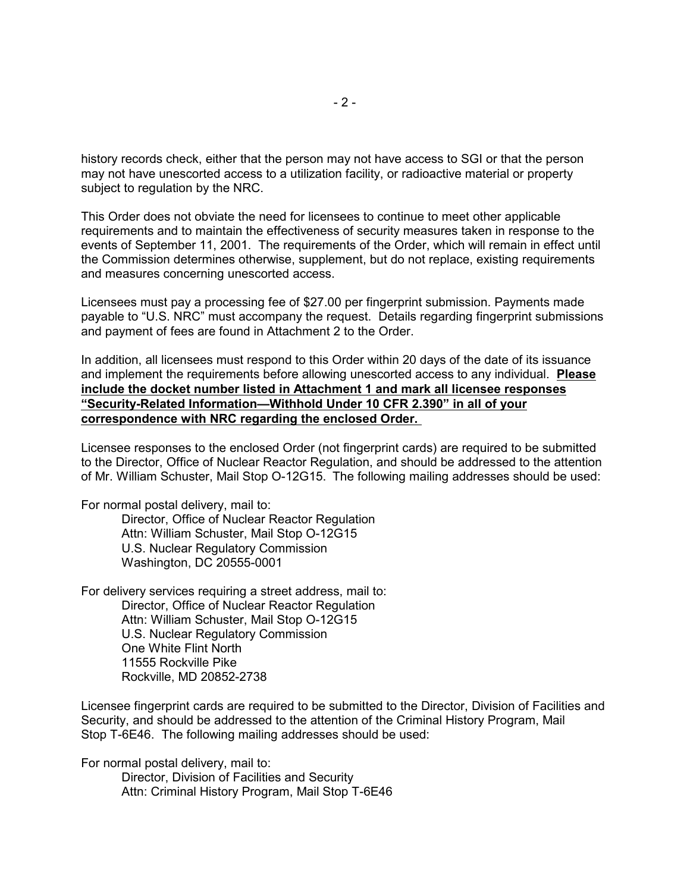history records check, either that the person may not have access to SGI or that the person may not have unescorted access to a utilization facility, or radioactive material or property subject to regulation by the NRC.

This Order does not obviate the need for licensees to continue to meet other applicable requirements and to maintain the effectiveness of security measures taken in response to the events of September 11, 2001. The requirements of the Order, which will remain in effect until the Commission determines otherwise, supplement, but do not replace, existing requirements and measures concerning unescorted access.

Licensees must pay a processing fee of \$27.00 per fingerprint submission. Payments made payable to "U.S. NRC" must accompany the request. Details regarding fingerprint submissions and payment of fees are found in Attachment 2 to the Order.

In addition, all licensees must respond to this Order within 20 days of the date of its issuance and implement the requirements before allowing unescorted access to any individual. **Please include the docket number listed in Attachment 1 and mark all licensee responses "Security-Related Information—Withhold Under 10 CFR 2.390" in all of your correspondence with NRC regarding the enclosed Order.** 

Licensee responses to the enclosed Order (not fingerprint cards) are required to be submitted to the Director, Office of Nuclear Reactor Regulation, and should be addressed to the attention of Mr. William Schuster, Mail Stop O-12G15. The following mailing addresses should be used:

For normal postal delivery, mail to:

Director, Office of Nuclear Reactor Regulation Attn: William Schuster, Mail Stop O-12G15 U.S. Nuclear Regulatory Commission Washington, DC 20555-0001

For delivery services requiring a street address, mail to:

Director, Office of Nuclear Reactor Regulation Attn: William Schuster, Mail Stop O-12G15 U.S. Nuclear Regulatory Commission One White Flint North 11555 Rockville Pike Rockville, MD 20852-2738

Licensee fingerprint cards are required to be submitted to the Director, Division of Facilities and Security, and should be addressed to the attention of the Criminal History Program, Mail Stop T-6E46. The following mailing addresses should be used:

For normal postal delivery, mail to:

Director, Division of Facilities and Security Attn: Criminal History Program, Mail Stop T-6E46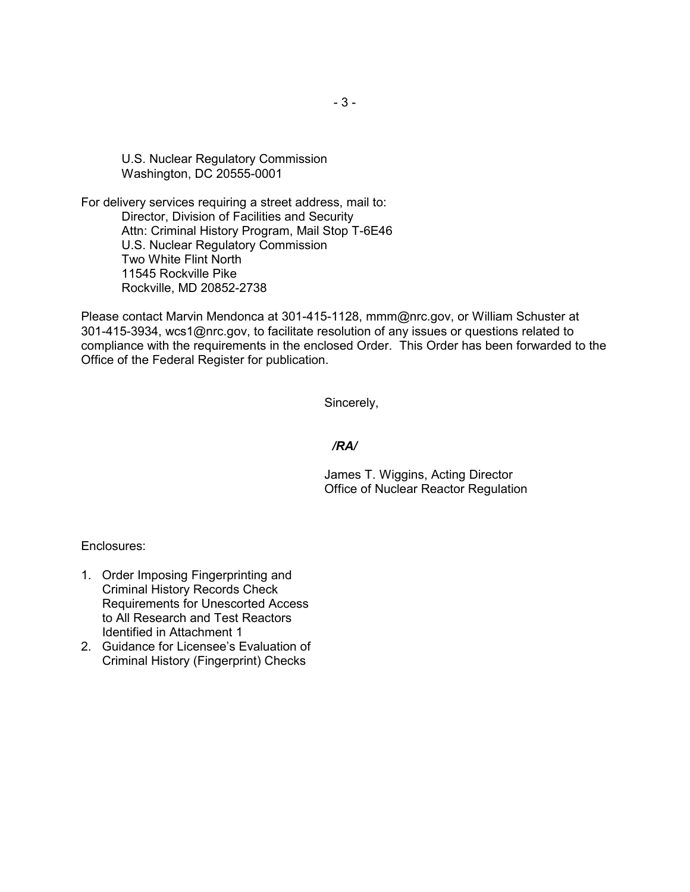U.S. Nuclear Regulatory Commission Washington, DC 20555-0001

For delivery services requiring a street address, mail to: Director, Division of Facilities and Security Attn: Criminal History Program, Mail Stop T-6E46 U.S. Nuclear Regulatory Commission Two White Flint North 11545 Rockville Pike Rockville, MD 20852-2738

Please contact Marvin Mendonca at 301-415-1128, mmm@nrc.gov, or William Schuster at 301-415-3934, wcs1@nrc.gov, to facilitate resolution of any issues or questions related to compliance with the requirements in the enclosed Order. This Order has been forwarded to the Office of the Federal Register for publication.

Sincerely,

#### */RA/*

James T. Wiggins, Acting Director Office of Nuclear Reactor Regulation

Enclosures:

- 1. Order Imposing Fingerprinting and Criminal History Records Check Requirements for Unescorted Access to All Research and Test Reactors Identified in Attachment 1
- 2. Guidance for Licensee's Evaluation of Criminal History (Fingerprint) Checks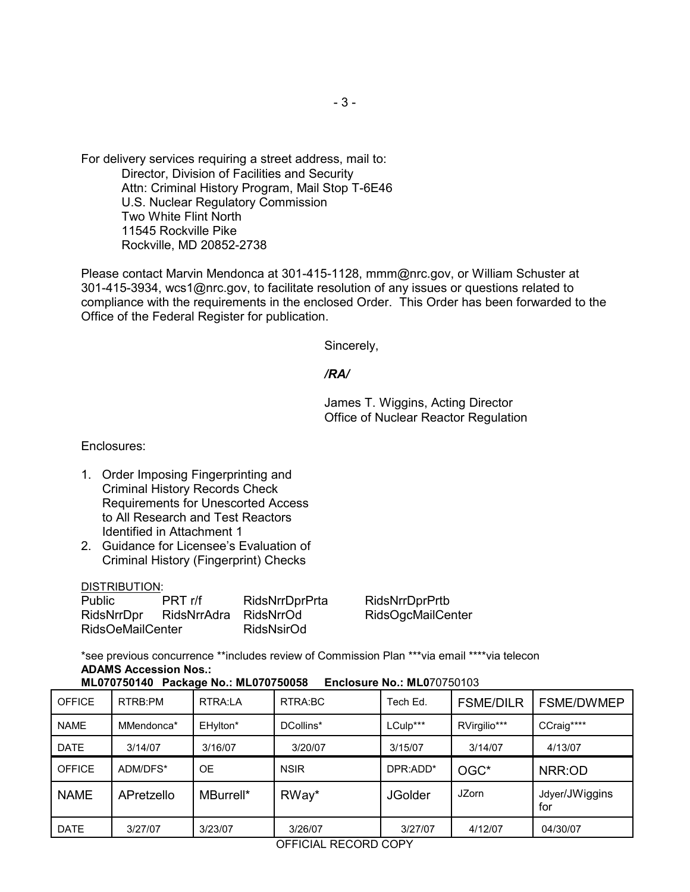For delivery services requiring a street address, mail to: Director, Division of Facilities and Security Attn: Criminal History Program, Mail Stop T-6E46 U.S. Nuclear Regulatory Commission Two White Flint North 11545 Rockville Pike Rockville, MD 20852-2738

Please contact Marvin Mendonca at 301-415-1128, mmm@nrc.gov, or William Schuster at 301-415-3934, wcs1@nrc.gov, to facilitate resolution of any issues or questions related to compliance with the requirements in the enclosed Order. This Order has been forwarded to the Office of the Federal Register for publication.

Sincerely,

*/RA/*

James T. Wiggins, Acting Director Office of Nuclear Reactor Regulation

Enclosures:

- 1. Order Imposing Fingerprinting and Criminal History Records Check Requirements for Unescorted Access to All Research and Test Reactors Identified in Attachment 1
- 2. Guidance for Licensee's Evaluation of Criminal History (Fingerprint) Checks

DISTRIBUTION:

| <b>Public</b>           | PRT r/f     | RidsNrrDprPrta |
|-------------------------|-------------|----------------|
| RidsNrrDpr              | RidsNrrAdra | RidsNrrOd      |
| <b>RidsOeMailCenter</b> |             | RidsNsirOd     |

RidsNrrDprPrtb RidsOgcMailCenter

\*see previous concurrence \*\*includes review of Commission Plan \*\*\*via email \*\*\*\*via telecon **ADAMS Accession Nos.:** 

**ML070750140 Package No.: ML070750058 Enclosure No.: ML0**70750103

| <b>OFFICE</b> | RTRB:PM    | RTRA:LA   | RTRA:BC     | Tech Ed.       | <b>FSME/DILR</b> | <b>FSME/DWMEP</b>     |
|---------------|------------|-----------|-------------|----------------|------------------|-----------------------|
| <b>NAME</b>   | MMendonca* | EHylton*  | DCollins*   | LCulp***       | RVirgilio***     | CCraig****            |
| <b>DATE</b>   | 3/14/07    | 3/16/07   | 3/20/07     | 3/15/07        | 3/14/07          | 4/13/07               |
| <b>OFFICE</b> | ADM/DFS*   | <b>OE</b> | <b>NSIR</b> | DPR:ADD*       | OGC*             | NRR:OD                |
| <b>NAME</b>   | APretzello | MBurrell* | RWay*       | <b>JGolder</b> | <b>JZorn</b>     | Jdyer/JWiggins<br>for |
| <b>DATE</b>   | 3/27/07    | 3/23/07   | 3/26/07     | 3/27/07        | 4/12/07          | 04/30/07              |

OFFICIAL RECORD COPY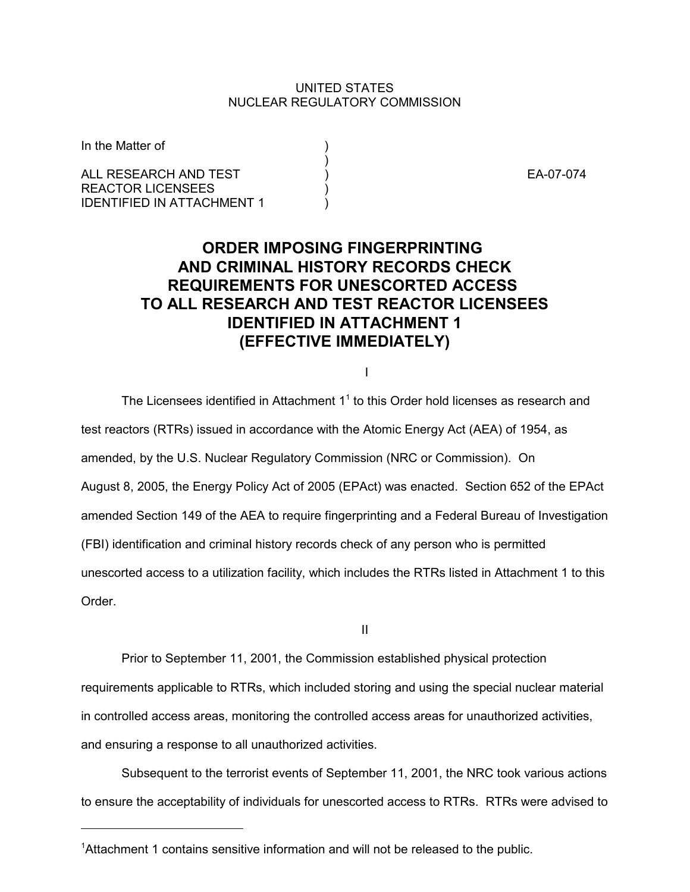#### UNITED STATES NUCLEAR REGULATORY COMMISSION

)

In the Matter of

ALL RESEARCH AND TEST  $\overrightarrow{)}$  (BA-07-074 REACTOR LICENSEES ) **IDENTIFIED IN ATTACHMENT 1** 

# **ORDER IMPOSING FINGERPRINTING AND CRIMINAL HISTORY RECORDS CHECK REQUIREMENTS FOR UNESCORTED ACCESS TO ALL RESEARCH AND TEST REACTOR LICENSEES IDENTIFIED IN ATTACHMENT 1 (EFFECTIVE IMMEDIATELY)**

I

The Licensees identified in Attachment  $1<sup>1</sup>$  to this Order hold licenses as research and test reactors (RTRs) issued in accordance with the Atomic Energy Act (AEA) of 1954, as amended, by the U.S. Nuclear Regulatory Commission (NRC or Commission). On August 8, 2005, the Energy Policy Act of 2005 (EPAct) was enacted. Section 652 of the EPAct amended Section 149 of the AEA to require fingerprinting and a Federal Bureau of Investigation (FBI) identification and criminal history records check of any person who is permitted unescorted access to a utilization facility, which includes the RTRs listed in Attachment 1 to this Order.

II

Prior to September 11, 2001, the Commission established physical protection requirements applicable to RTRs, which included storing and using the special nuclear material in controlled access areas, monitoring the controlled access areas for unauthorized activities, and ensuring a response to all unauthorized activities.

Subsequent to the terrorist events of September 11, 2001, the NRC took various actions to ensure the acceptability of individuals for unescorted access to RTRs. RTRs were advised to

<sup>&</sup>lt;sup>1</sup>Attachment 1 contains sensitive information and will not be released to the public.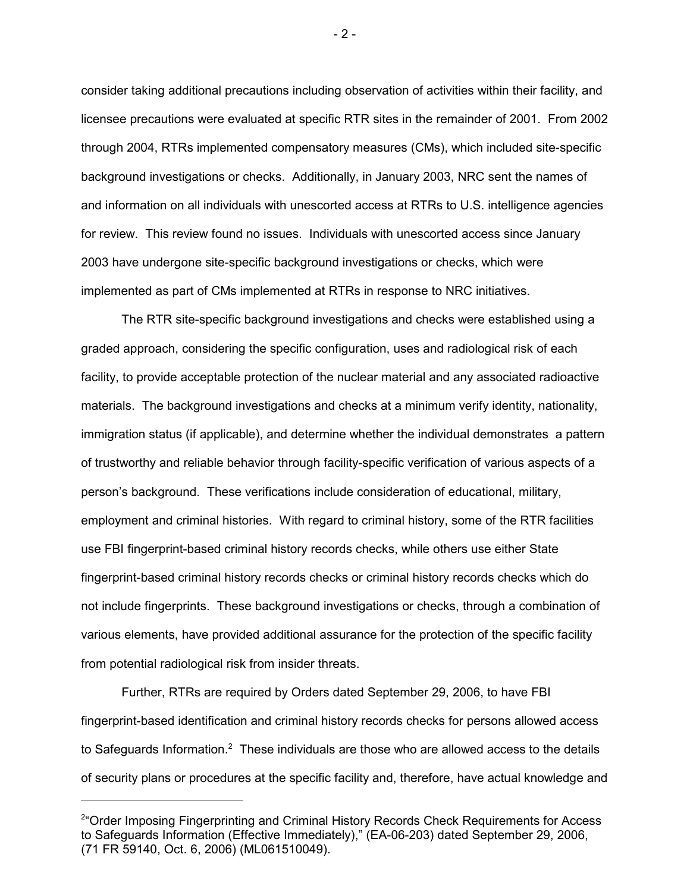consider taking additional precautions including observation of activities within their facility, and licensee precautions were evaluated at specific RTR sites in the remainder of 2001. From 2002 through 2004, RTRs implemented compensatory measures (CMs), which included site-specific background investigations or checks. Additionally, in January 2003, NRC sent the names of and information on all individuals with unescorted access at RTRs to U.S. intelligence agencies for review. This review found no issues. Individuals with unescorted access since January 2003 have undergone site-specific background investigations or checks, which were implemented as part of CMs implemented at RTRs in response to NRC initiatives.

The RTR site-specific background investigations and checks were established using a graded approach, considering the specific configuration, uses and radiological risk of each facility, to provide acceptable protection of the nuclear material and any associated radioactive materials. The background investigations and checks at a minimum verify identity, nationality, immigration status (if applicable), and determine whether the individual demonstrates a pattern of trustworthy and reliable behavior through facility-specific verification of various aspects of a person's background. These verifications include consideration of educational, military, employment and criminal histories. With regard to criminal history, some of the RTR facilities use FBI fingerprint-based criminal history records checks, while others use either State fingerprint-based criminal history records checks or criminal history records checks which do not include fingerprints. These background investigations or checks, through a combination of various elements, have provided additional assurance for the protection of the specific facility from potential radiological risk from insider threats.

Further, RTRs are required by Orders dated September 29, 2006, to have FBI fingerprint-based identification and criminal history records checks for persons allowed access to Safeguards Information.<sup>2</sup> These individuals are those who are allowed access to the details of security plans or procedures at the specific facility and, therefore, have actual knowledge and

- 2 -

<sup>&</sup>lt;sup>2</sup>"Order Imposing Fingerprinting and Criminal History Records Check Requirements for Access to Safeguards Information (Effective Immediately)," (EA-06-203) dated September 29, 2006, (71 FR 59140, Oct. 6, 2006) (ML061510049).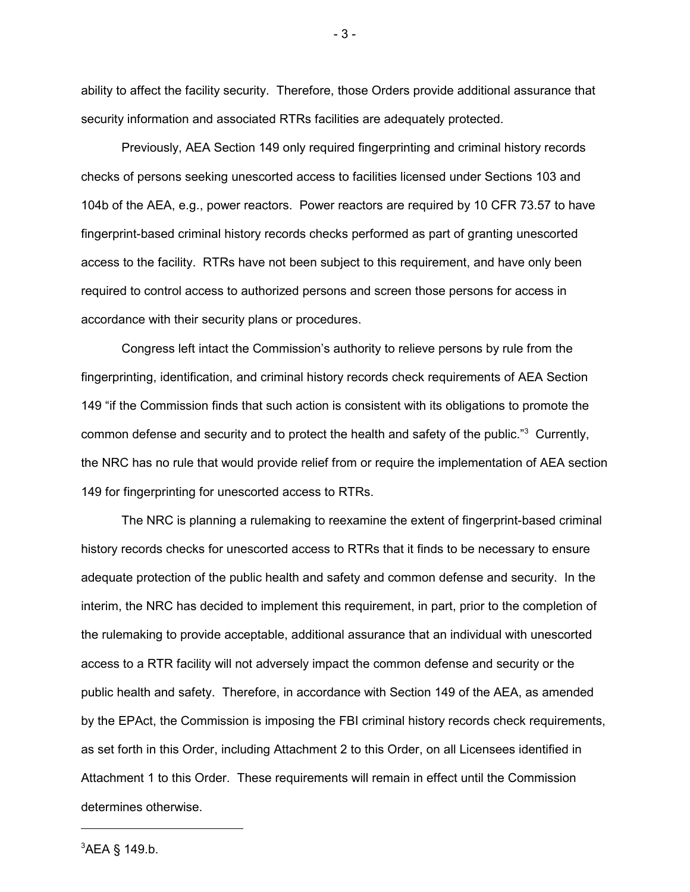ability to affect the facility security. Therefore, those Orders provide additional assurance that security information and associated RTRs facilities are adequately protected.

Previously, AEA Section 149 only required fingerprinting and criminal history records checks of persons seeking unescorted access to facilities licensed under Sections 103 and 104b of the AEA, e.g., power reactors. Power reactors are required by 10 CFR 73.57 to have fingerprint-based criminal history records checks performed as part of granting unescorted access to the facility. RTRs have not been subject to this requirement, and have only been required to control access to authorized persons and screen those persons for access in accordance with their security plans or procedures.

Congress left intact the Commission's authority to relieve persons by rule from the fingerprinting, identification, and criminal history records check requirements of AEA Section 149 "if the Commission finds that such action is consistent with its obligations to promote the common defense and security and to protect the health and safety of the public." $3$  Currently, the NRC has no rule that would provide relief from or require the implementation of AEA section 149 for fingerprinting for unescorted access to RTRs.

The NRC is planning a rulemaking to reexamine the extent of fingerprint-based criminal history records checks for unescorted access to RTRs that it finds to be necessary to ensure adequate protection of the public health and safety and common defense and security. In the interim, the NRC has decided to implement this requirement, in part, prior to the completion of the rulemaking to provide acceptable, additional assurance that an individual with unescorted access to a RTR facility will not adversely impact the common defense and security or the public health and safety. Therefore, in accordance with Section 149 of the AEA, as amended by the EPAct, the Commission is imposing the FBI criminal history records check requirements, as set forth in this Order, including Attachment 2 to this Order, on all Licensees identified in Attachment 1 to this Order. These requirements will remain in effect until the Commission determines otherwise.

 ${}^{3}$ AEA § 149.b.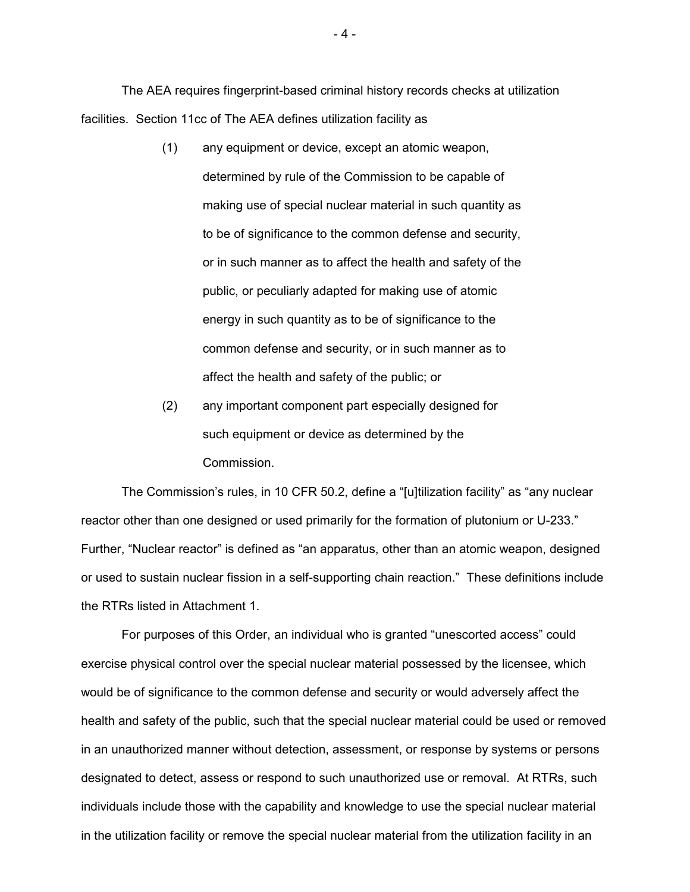The AEA requires fingerprint-based criminal history records checks at utilization facilities. Section 11cc of The AEA defines utilization facility as

- (1) any equipment or device, except an atomic weapon, determined by rule of the Commission to be capable of making use of special nuclear material in such quantity as to be of significance to the common defense and security, or in such manner as to affect the health and safety of the public, or peculiarly adapted for making use of atomic energy in such quantity as to be of significance to the common defense and security, or in such manner as to affect the health and safety of the public; or
- (2) any important component part especially designed for such equipment or device as determined by the Commission.

The Commission's rules, in 10 CFR 50.2, define a "[u]tilization facility" as "any nuclear reactor other than one designed or used primarily for the formation of plutonium or U-233." Further, "Nuclear reactor" is defined as "an apparatus, other than an atomic weapon, designed or used to sustain nuclear fission in a self-supporting chain reaction." These definitions include the RTRs listed in Attachment 1.

For purposes of this Order, an individual who is granted "unescorted access" could exercise physical control over the special nuclear material possessed by the licensee, which would be of significance to the common defense and security or would adversely affect the health and safety of the public, such that the special nuclear material could be used or removed in an unauthorized manner without detection, assessment, or response by systems or persons designated to detect, assess or respond to such unauthorized use or removal. At RTRs, such individuals include those with the capability and knowledge to use the special nuclear material in the utilization facility or remove the special nuclear material from the utilization facility in an

- 4 -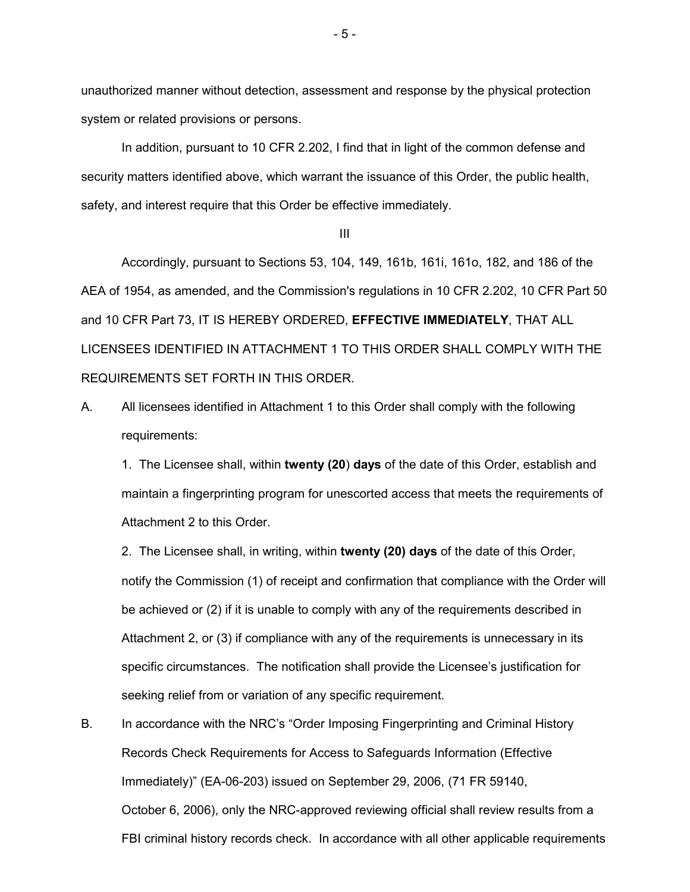unauthorized manner without detection, assessment and response by the physical protection system or related provisions or persons.

In addition, pursuant to 10 CFR 2.202, I find that in light of the common defense and security matters identified above, which warrant the issuance of this Order, the public health, safety, and interest require that this Order be effective immediately.

III

Accordingly, pursuant to Sections 53, 104, 149, 161b, 161i, 161o, 182, and 186 of the AEA of 1954, as amended, and the Commission's regulations in 10 CFR 2.202, 10 CFR Part 50 and 10 CFR Part 73, IT IS HEREBY ORDERED, **EFFECTIVE IMMEDIATELY**, THAT ALL LICENSEES IDENTIFIED IN ATTACHMENT 1 TO THIS ORDER SHALL COMPLY WITH THE REQUIREMENTS SET FORTH IN THIS ORDER.

A. All licensees identified in Attachment 1 to this Order shall comply with the following requirements:

1. The Licensee shall, within **twenty (20**) **days** of the date of this Order, establish and maintain a fingerprinting program for unescorted access that meets the requirements of Attachment 2 to this Order.

2. The Licensee shall, in writing, within **twenty (20) days** of the date of this Order, notify the Commission (1) of receipt and confirmation that compliance with the Order will be achieved or (2) if it is unable to comply with any of the requirements described in Attachment 2, or (3) if compliance with any of the requirements is unnecessary in its specific circumstances. The notification shall provide the Licensee's justification for seeking relief from or variation of any specific requirement.

B. In accordance with the NRC's "Order Imposing Fingerprinting and Criminal History Records Check Requirements for Access to Safeguards Information (Effective Immediately)" (EA-06-203) issued on September 29, 2006, (71 FR 59140, October 6, 2006), only the NRC-approved reviewing official shall review results from a FBI criminal history records check. In accordance with all other applicable requirements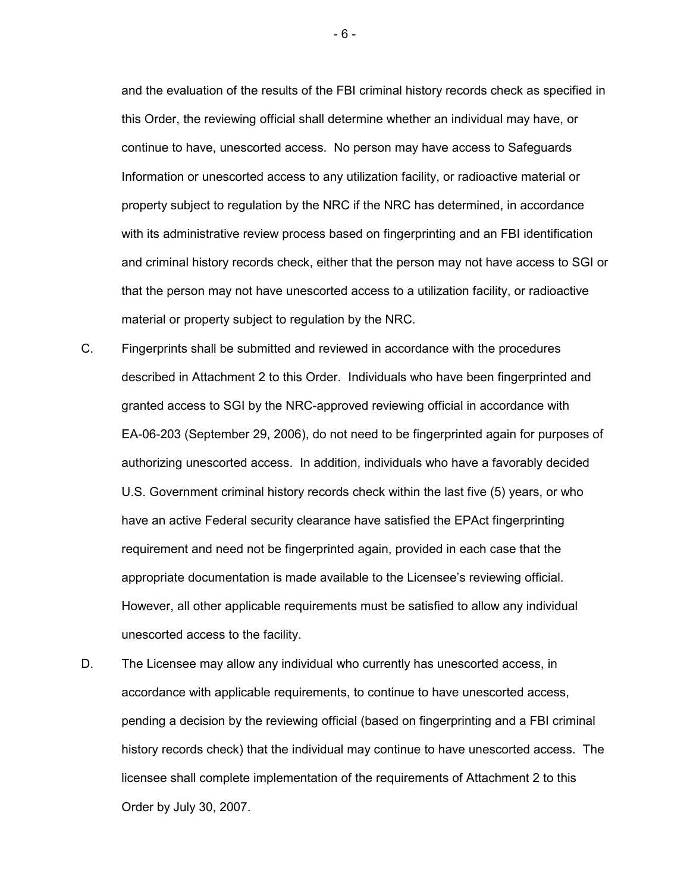and the evaluation of the results of the FBI criminal history records check as specified in this Order, the reviewing official shall determine whether an individual may have, or continue to have, unescorted access. No person may have access to Safeguards Information or unescorted access to any utilization facility, or radioactive material or property subject to regulation by the NRC if the NRC has determined, in accordance with its administrative review process based on fingerprinting and an FBI identification and criminal history records check, either that the person may not have access to SGI or that the person may not have unescorted access to a utilization facility, or radioactive material or property subject to regulation by the NRC.

- C. Fingerprints shall be submitted and reviewed in accordance with the procedures described in Attachment 2 to this Order. Individuals who have been fingerprinted and granted access to SGI by the NRC-approved reviewing official in accordance with EA-06-203 (September 29, 2006), do not need to be fingerprinted again for purposes of authorizing unescorted access. In addition, individuals who have a favorably decided U.S. Government criminal history records check within the last five (5) years, or who have an active Federal security clearance have satisfied the EPAct fingerprinting requirement and need not be fingerprinted again, provided in each case that the appropriate documentation is made available to the Licensee's reviewing official. However, all other applicable requirements must be satisfied to allow any individual unescorted access to the facility.
- D. The Licensee may allow any individual who currently has unescorted access, in accordance with applicable requirements, to continue to have unescorted access, pending a decision by the reviewing official (based on fingerprinting and a FBI criminal history records check) that the individual may continue to have unescorted access. The licensee shall complete implementation of the requirements of Attachment 2 to this Order by July 30, 2007.

- 6 -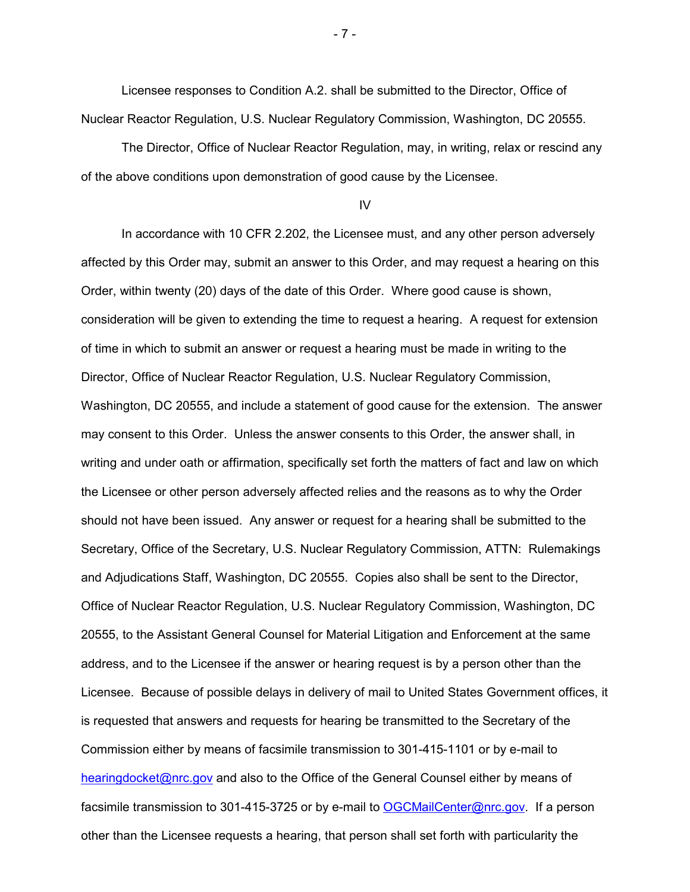Licensee responses to Condition A.2. shall be submitted to the Director, Office of Nuclear Reactor Regulation, U.S. Nuclear Regulatory Commission, Washington, DC 20555.

The Director, Office of Nuclear Reactor Regulation, may, in writing, relax or rescind any of the above conditions upon demonstration of good cause by the Licensee.

#### IV

In accordance with 10 CFR 2.202, the Licensee must, and any other person adversely affected by this Order may, submit an answer to this Order, and may request a hearing on this Order, within twenty (20) days of the date of this Order. Where good cause is shown, consideration will be given to extending the time to request a hearing. A request for extension of time in which to submit an answer or request a hearing must be made in writing to the Director, Office of Nuclear Reactor Regulation, U.S. Nuclear Regulatory Commission, Washington, DC 20555, and include a statement of good cause for the extension. The answer may consent to this Order. Unless the answer consents to this Order, the answer shall, in writing and under oath or affirmation, specifically set forth the matters of fact and law on which the Licensee or other person adversely affected relies and the reasons as to why the Order should not have been issued. Any answer or request for a hearing shall be submitted to the Secretary, Office of the Secretary, U.S. Nuclear Regulatory Commission, ATTN: Rulemakings and Adjudications Staff, Washington, DC 20555. Copies also shall be sent to the Director, Office of Nuclear Reactor Regulation, U.S. Nuclear Regulatory Commission, Washington, DC 20555, to the Assistant General Counsel for Material Litigation and Enforcement at the same address, and to the Licensee if the answer or hearing request is by a person other than the Licensee. Because of possible delays in delivery of mail to United States Government offices, it is requested that answers and requests for hearing be transmitted to the Secretary of the Commission either by means of facsimile transmission to 301-415-1101 or by e-mail to hearingdocket@nrc.gov and also to the Office of the General Counsel either by means of facsimile transmission to 301-415-3725 or by e-mail to OGCMailCenter@nrc.gov. If a person other than the Licensee requests a hearing, that person shall set forth with particularity the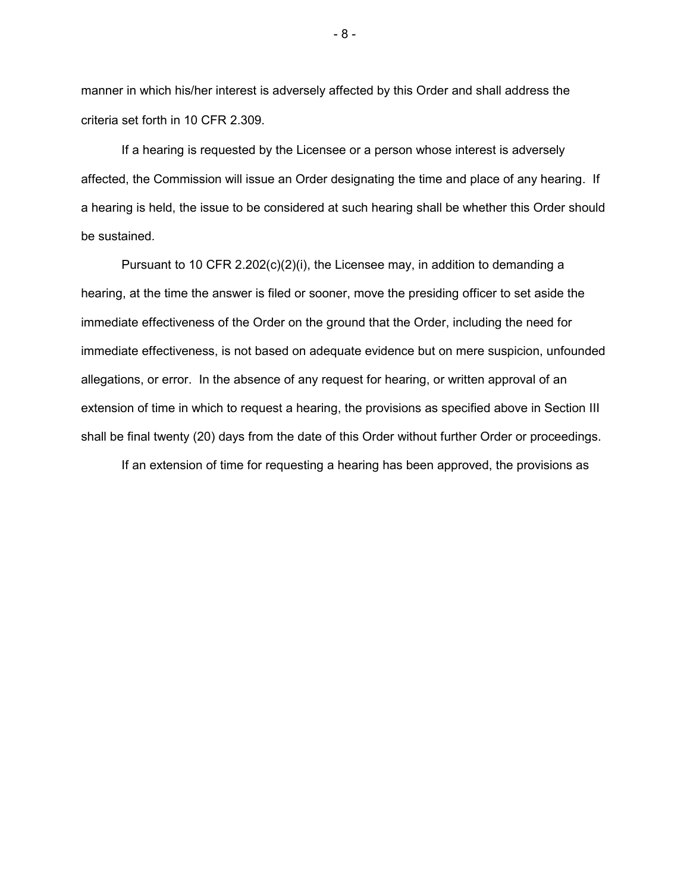manner in which his/her interest is adversely affected by this Order and shall address the criteria set forth in 10 CFR 2.309.

If a hearing is requested by the Licensee or a person whose interest is adversely affected, the Commission will issue an Order designating the time and place of any hearing. If a hearing is held, the issue to be considered at such hearing shall be whether this Order should be sustained.

Pursuant to 10 CFR 2.202(c)(2)(i), the Licensee may, in addition to demanding a hearing, at the time the answer is filed or sooner, move the presiding officer to set aside the immediate effectiveness of the Order on the ground that the Order, including the need for immediate effectiveness, is not based on adequate evidence but on mere suspicion, unfounded allegations, or error. In the absence of any request for hearing, or written approval of an extension of time in which to request a hearing, the provisions as specified above in Section III shall be final twenty (20) days from the date of this Order without further Order or proceedings. If an extension of time for requesting a hearing has been approved, the provisions as

- 8 -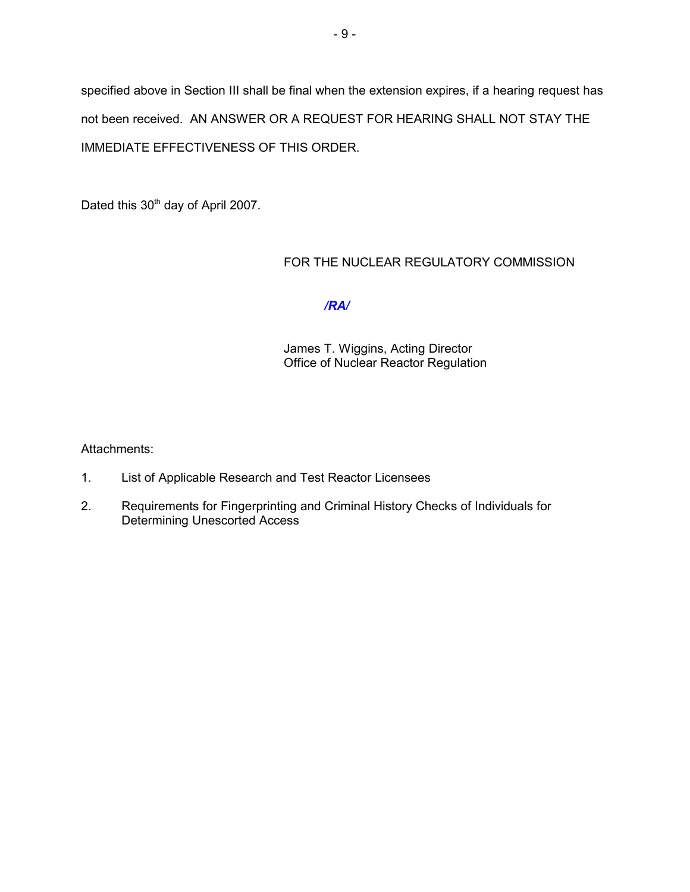specified above in Section III shall be final when the extension expires, if a hearing request has not been received. AN ANSWER OR A REQUEST FOR HEARING SHALL NOT STAY THE IMMEDIATE EFFECTIVENESS OF THIS ORDER.

Dated this 30<sup>th</sup> day of April 2007.

#### FOR THE NUCLEAR REGULATORY COMMISSION

## */RA/*

James T. Wiggins, Acting Director Office of Nuclear Reactor Regulation

Attachments:

- 1. List of Applicable Research and Test Reactor Licensees
- 2. Requirements for Fingerprinting and Criminal History Checks of Individuals for Determining Unescorted Access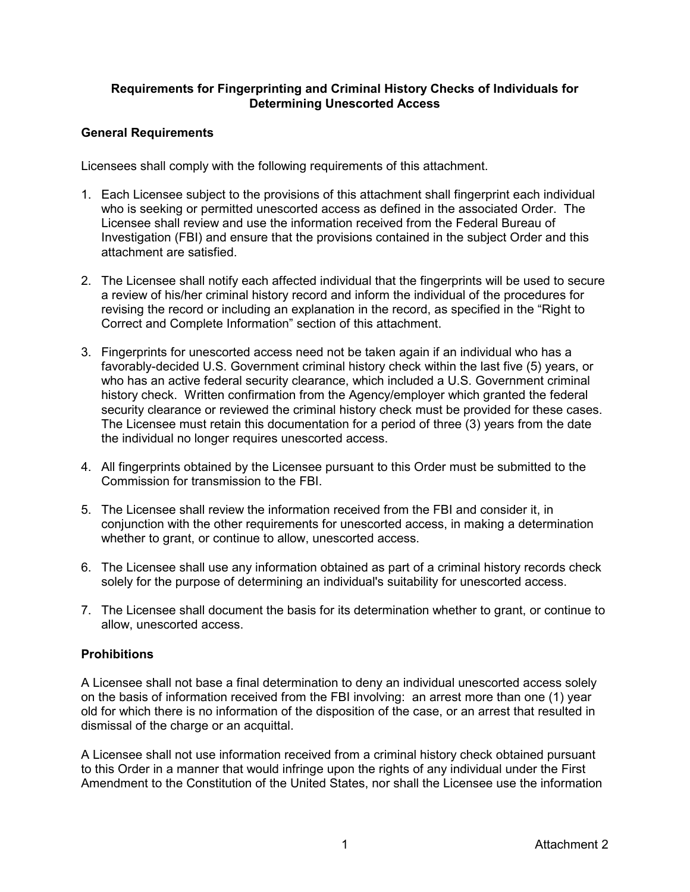## **Requirements for Fingerprinting and Criminal History Checks of Individuals for Determining Unescorted Access**

## **General Requirements**

Licensees shall comply with the following requirements of this attachment.

- 1. Each Licensee subject to the provisions of this attachment shall fingerprint each individual who is seeking or permitted unescorted access as defined in the associated Order. The Licensee shall review and use the information received from the Federal Bureau of Investigation (FBI) and ensure that the provisions contained in the subject Order and this attachment are satisfied.
- 2. The Licensee shall notify each affected individual that the fingerprints will be used to secure a review of his/her criminal history record and inform the individual of the procedures for revising the record or including an explanation in the record, as specified in the "Right to Correct and Complete Information" section of this attachment.
- 3. Fingerprints for unescorted access need not be taken again if an individual who has a favorably-decided U.S. Government criminal history check within the last five (5) years, or who has an active federal security clearance, which included a U.S. Government criminal history check. Written confirmation from the Agency/employer which granted the federal security clearance or reviewed the criminal history check must be provided for these cases. The Licensee must retain this documentation for a period of three (3) years from the date the individual no longer requires unescorted access.
- 4. All fingerprints obtained by the Licensee pursuant to this Order must be submitted to the Commission for transmission to the FBI.
- 5. The Licensee shall review the information received from the FBI and consider it, in conjunction with the other requirements for unescorted access, in making a determination whether to grant, or continue to allow, unescorted access.
- 6. The Licensee shall use any information obtained as part of a criminal history records check solely for the purpose of determining an individual's suitability for unescorted access.
- 7. The Licensee shall document the basis for its determination whether to grant, or continue to allow, unescorted access.

# **Prohibitions**

A Licensee shall not base a final determination to deny an individual unescorted access solely on the basis of information received from the FBI involving: an arrest more than one (1) year old for which there is no information of the disposition of the case, or an arrest that resulted in dismissal of the charge or an acquittal.

A Licensee shall not use information received from a criminal history check obtained pursuant to this Order in a manner that would infringe upon the rights of any individual under the First Amendment to the Constitution of the United States, nor shall the Licensee use the information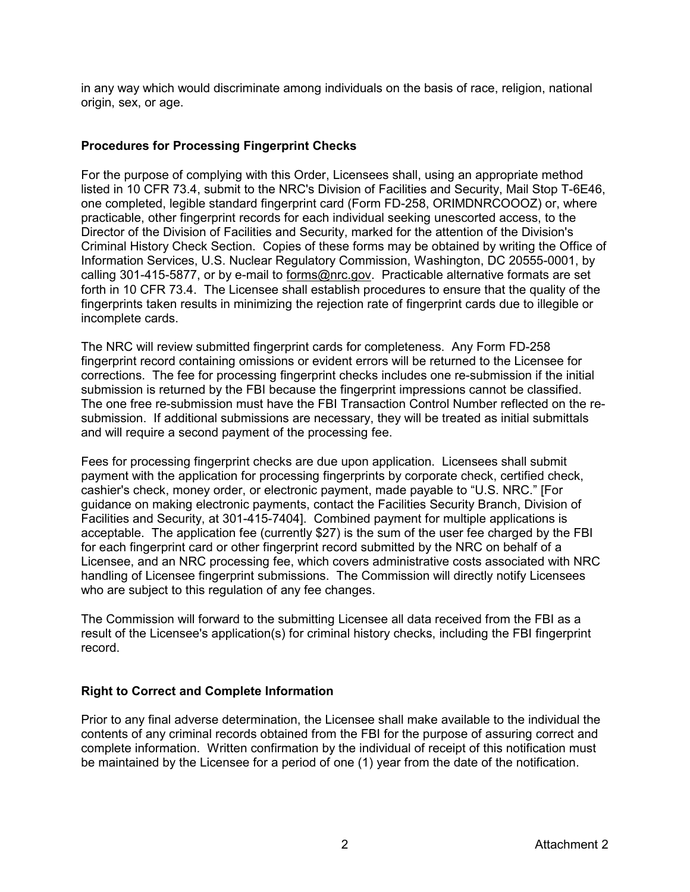in any way which would discriminate among individuals on the basis of race, religion, national origin, sex, or age.

#### **Procedures for Processing Fingerprint Checks**

For the purpose of complying with this Order, Licensees shall, using an appropriate method listed in 10 CFR 73.4, submit to the NRC's Division of Facilities and Security, Mail Stop T-6E46, one completed, legible standard fingerprint card (Form FD-258, ORIMDNRCOOOZ) or, where practicable, other fingerprint records for each individual seeking unescorted access, to the Director of the Division of Facilities and Security, marked for the attention of the Division's Criminal History Check Section. Copies of these forms may be obtained by writing the Office of Information Services, U.S. Nuclear Regulatory Commission, Washington, DC 20555-0001, by calling 301-415-5877, or by e-mail to forms@nrc.gov. Practicable alternative formats are set forth in 10 CFR 73.4. The Licensee shall establish procedures to ensure that the quality of the fingerprints taken results in minimizing the rejection rate of fingerprint cards due to illegible or incomplete cards.

The NRC will review submitted fingerprint cards for completeness. Any Form FD-258 fingerprint record containing omissions or evident errors will be returned to the Licensee for corrections. The fee for processing fingerprint checks includes one re-submission if the initial submission is returned by the FBI because the fingerprint impressions cannot be classified. The one free re-submission must have the FBI Transaction Control Number reflected on the resubmission. If additional submissions are necessary, they will be treated as initial submittals and will require a second payment of the processing fee.

Fees for processing fingerprint checks are due upon application. Licensees shall submit payment with the application for processing fingerprints by corporate check, certified check, cashier's check, money order, or electronic payment, made payable to "U.S. NRC." [For guidance on making electronic payments, contact the Facilities Security Branch, Division of Facilities and Security, at 301-415-7404]. Combined payment for multiple applications is acceptable. The application fee (currently \$27) is the sum of the user fee charged by the FBI for each fingerprint card or other fingerprint record submitted by the NRC on behalf of a Licensee, and an NRC processing fee, which covers administrative costs associated with NRC handling of Licensee fingerprint submissions. The Commission will directly notify Licensees who are subject to this regulation of any fee changes.

The Commission will forward to the submitting Licensee all data received from the FBI as a result of the Licensee's application(s) for criminal history checks, including the FBI fingerprint record.

# **Right to Correct and Complete Information**

Prior to any final adverse determination, the Licensee shall make available to the individual the contents of any criminal records obtained from the FBI for the purpose of assuring correct and complete information. Written confirmation by the individual of receipt of this notification must be maintained by the Licensee for a period of one (1) year from the date of the notification.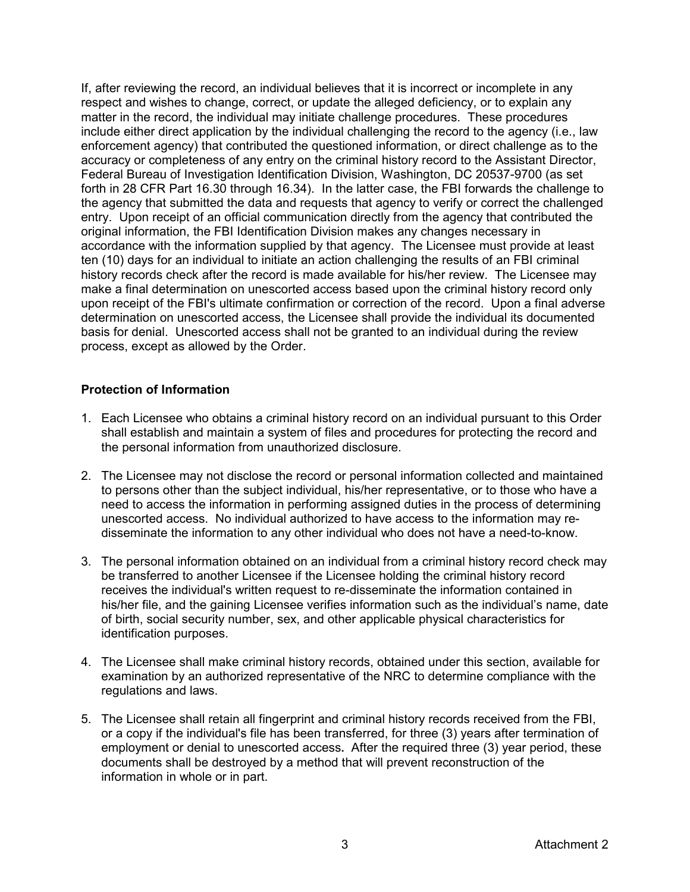If, after reviewing the record, an individual believes that it is incorrect or incomplete in any respect and wishes to change, correct, or update the alleged deficiency, or to explain any matter in the record, the individual may initiate challenge procedures. These procedures include either direct application by the individual challenging the record to the agency (i.e., law enforcement agency) that contributed the questioned information, or direct challenge as to the accuracy or completeness of any entry on the criminal history record to the Assistant Director, Federal Bureau of Investigation Identification Division, Washington, DC 20537-9700 (as set forth in 28 CFR Part 16.30 through 16.34). In the latter case, the FBI forwards the challenge to the agency that submitted the data and requests that agency to verify or correct the challenged entry. Upon receipt of an official communication directly from the agency that contributed the original information, the FBI Identification Division makes any changes necessary in accordance with the information supplied by that agency. The Licensee must provide at least ten (10) days for an individual to initiate an action challenging the results of an FBI criminal history records check after the record is made available for his/her review. The Licensee may make a final determination on unescorted access based upon the criminal history record only upon receipt of the FBI's ultimate confirmation or correction of the record. Upon a final adverse determination on unescorted access, the Licensee shall provide the individual its documented basis for denial. Unescorted access shall not be granted to an individual during the review process, except as allowed by the Order.

#### **Protection of Information**

- 1. Each Licensee who obtains a criminal history record on an individual pursuant to this Order shall establish and maintain a system of files and procedures for protecting the record and the personal information from unauthorized disclosure.
- 2. The Licensee may not disclose the record or personal information collected and maintained to persons other than the subject individual, his/her representative, or to those who have a need to access the information in performing assigned duties in the process of determining unescorted access. No individual authorized to have access to the information may redisseminate the information to any other individual who does not have a need-to-know.
- 3. The personal information obtained on an individual from a criminal history record check may be transferred to another Licensee if the Licensee holding the criminal history record receives the individual's written request to re-disseminate the information contained in his/her file, and the gaining Licensee verifies information such as the individual's name, date of birth, social security number, sex, and other applicable physical characteristics for identification purposes.
- 4. The Licensee shall make criminal history records, obtained under this section, available for examination by an authorized representative of the NRC to determine compliance with the regulations and laws.
- 5. The Licensee shall retain all fingerprint and criminal history records received from the FBI, or a copy if the individual's file has been transferred, for three (3) years after termination of employment or denial to unescorted access**.** After the required three (3) year period, these documents shall be destroyed by a method that will prevent reconstruction of the information in whole or in part.